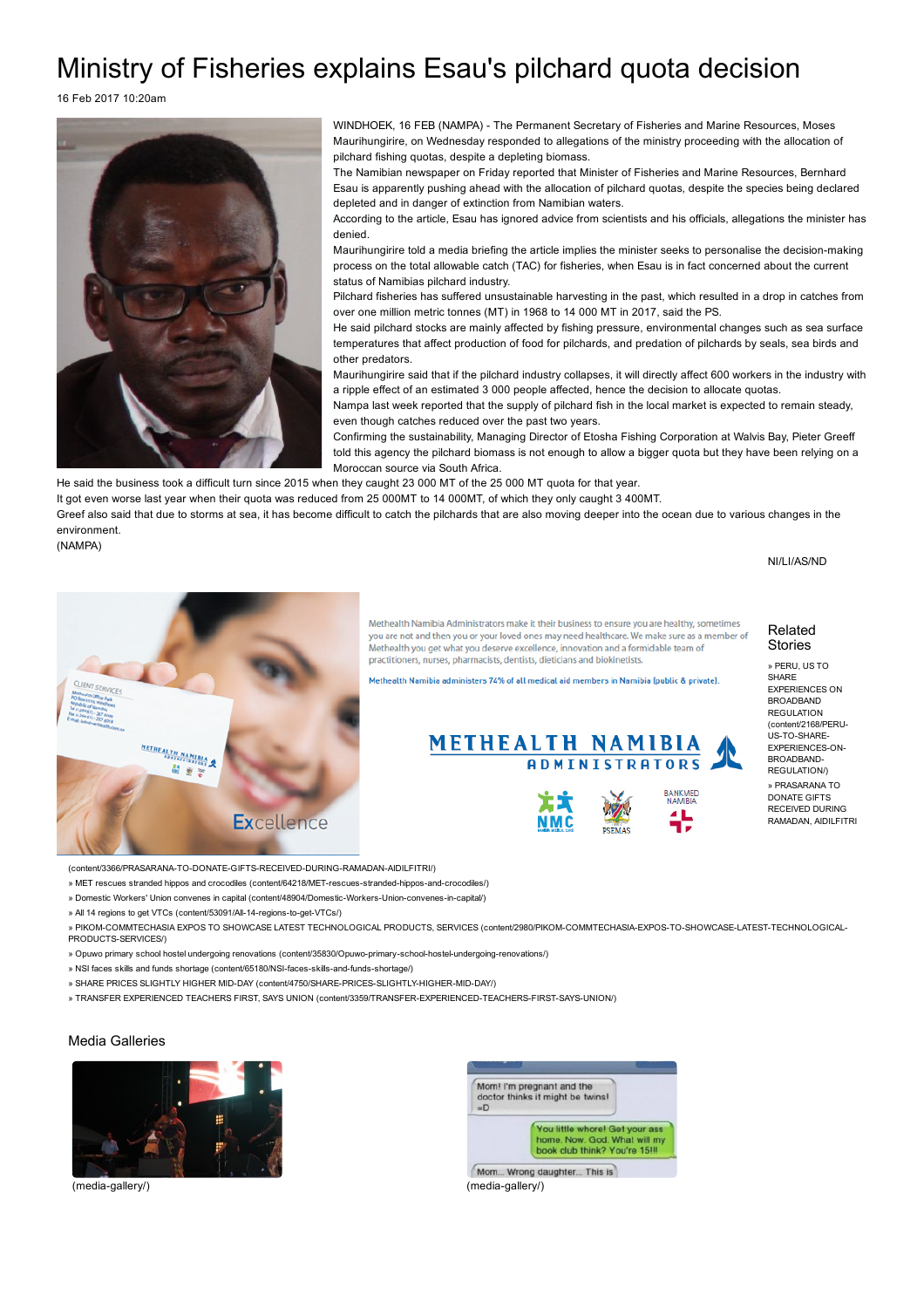## Ministry of Fisheries explains Esau's pilchard quota decision

16 Feb 2017 10:20am



WINDHOEK, 16 FEB (NAMPA) - The Permanent Secretary of Fisheries and Marine Resources, Moses Maurihungirire, on Wednesday responded to allegations of the ministry proceeding with the allocation of pilchard fishing quotas, despite a depleting biomass.

The Namibian newspaper on Friday reported that Minister of Fisheries and Marine Resources, Bernhard Esau is apparently pushing ahead with the allocation of pilchard quotas, despite the species being declared depleted and in danger of extinction from Namibian waters.

According to the article, Esau has ignored advice from scientists and his officials, allegations the minister has denied.

Maurihungirire told a media briefing the article implies the minister seeks to personalise the decision-making process on the total allowable catch (TAC) for fisheries, when Esau is in fact concerned about the current status of Namibias pilchard industry.

Pilchard fisheries has suffered unsustainable harvesting in the past, which resulted in a drop in catches from over one million metric tonnes (MT) in 1968 to 14 000 MT in 2017, said the PS.

He said pilchard stocks are mainly affected by fishing pressure, environmental changes such as sea surface temperatures that affect production of food for pilchards, and predation of pilchards by seals, sea birds and other predators.

Maurihungirire said that if the pilchard industry collapses, it will directly affect 600 workers in the industry with a ripple effect of an estimated 3 000 people affected, hence the decision to allocate quotas.

Nampa last week reported that the supply of pilchard fish in the local market is expected to remain steady, even though catches reduced over the past two years.

Confirming the sustainability, Managing Director of Etosha Fishing Corporation at Walvis Bay, Pieter Greeff told this agency the pilchard biomass is not enough to allow a bigger quota but they have been relying on a Moroccan source via South Africa.

He said the business took a difficult turn since 2015 when they caught 23 000 MT of the 25 000 MT quota for that year.

It got even worse last year when their quota was reduced from 25 000MT to 14 000MT, of which they only caught 3 400MT.

Greef also said that due to storms at sea, it has become difficult to catch the pilchards that are also moving deeper into the ocean due to various changes in the environment.

(NAMPA)

NI/LI/AS/ND



Methealth Namibia Administrators make it their business to ensure you are healthy, sometimes you are not and then you or your loved ones may need healthcare. We make sure as a member of Methealth you get what you deserve excellence, innovation and a formidable team of practitioners, nurses, pharmacists, dentists, dieticians and biokinetists.

lethealth Namibia administers 74% of all medical aid members in Namibia (public & private).



Related Stories

» PERU, US TO **SHARE** EXPERIENCES ON BROADBAND **REGULATION** [\(content/2168/PERU-](http://www.lelamobile.com/content/2168/PERU-US-TO-SHARE-EXPERIENCES-ON-BROADBAND-REGULATION/)US-TO-SHARE-EXPERIENCES.ON. BROADBAND-REGULATION/) » PRASARANA TO DONATE GIFTS RECEIVED DURING RAMADAN, AIDILFITRI

(content/3366/PRASARANA-TO-DONATE-GIFTS-RECEIVED-DURING-RAMADAN-AIDILFITRI/)

» MET rescues stranded hippos and crocodiles (content/64218/MET-rescues-stranded-hippos-and-crocodiles/)

» Domestic Workers' Union convenes in capital (content/48904/Domestic-Workers-Union-convenes-in-capital/)

» All 14 regions to get VTCs (content/53091/All-14-regions-to-get-VTCs/)

» PIKOM-COMMTECHASIA EXPOS TO SHOWCASE LATEST TECHNOLOGICAL PRODUCTS, SERVICES (content/2980/PIKOM-COMMTECHASIA-EXPOS-TO-SHOWCASE-LATEST-TECHNOLOGICAL-PRODUCTS-SERVICES/)

» Opuwo primary school hostel undergoing renovations (content/35830/Opuwo-primary-school-hostel-undergoing-renovations/)

» NSI faces skills and funds shortage (content/65180/NSI-faces-skills-and-funds-shortage/)

» SHARE PRICES SLIGHTLY HIGHER MID-DAY (content/4750/SHARE-PRICES-SLIGHTLY-HIGHER-MID-DAY/)

» TRANSFER EXPERIENCED TEACHERS FIRST, SAYS UNION (content/3359/TRANSFER-EXPERIENCED-TEACHERS-FIRST-SAYS-UNION/)

## Media Galleries





Mom... Wrong daughter... This is (media-gallery/) (media-gallery/)